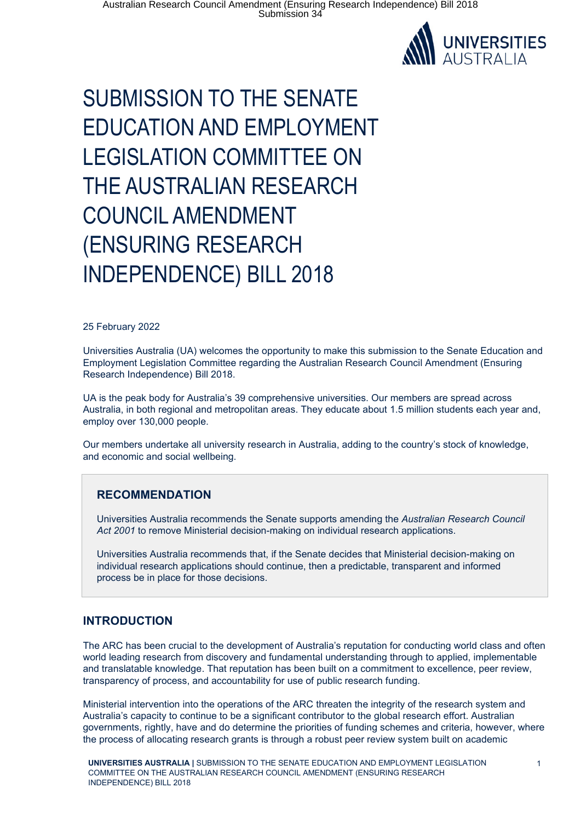

# SUBMISSION TO THE SENATE EDUCATION AND EMPLOYMENT LEGISLATION COMMITTEE ON THE AUSTRALIAN RESEARCH COUNCIL AMENDMENT (ENSURING RESEARCH INDEPENDENCE) BILL 2018

#### 25 February 2022

Universities Australia (UA) welcomes the opportunity to make this submission to the Senate Education and Employment Legislation Committee regarding the Australian Research Council Amendment (Ensuring Research Independence) Bill 2018.

UA is the peak body for Australia's 39 comprehensive universities. Our members are spread across Australia, in both regional and metropolitan areas. They educate about 1.5 million students each year and, employ over 130,000 people.

Our members undertake all university research in Australia, adding to the country's stock of knowledge, and economic and social wellbeing.

#### **RECOMMENDATION**

Universities Australia recommends the Senate supports amending the *Australian Research Council Act 2001* to remove Ministerial decision-making on individual research applications.

Universities Australia recommends that, if the Senate decides that Ministerial decision-making on individual research applications should continue, then a predictable, transparent and informed process be in place for those decisions.

#### **INTRODUCTION**

The ARC has been crucial to the development of Australia's reputation for conducting world class and often world leading research from discovery and fundamental understanding through to applied, implementable and translatable knowledge. That reputation has been built on a commitment to excellence, peer review, transparency of process, and accountability for use of public research funding.

Ministerial intervention into the operations of the ARC threaten the integrity of the research system and Australia's capacity to continue to be a significant contributor to the global research effort. Australian governments, rightly, have and do determine the priorities of funding schemes and criteria, however, where the process of allocating research grants is through a robust peer review system built on academic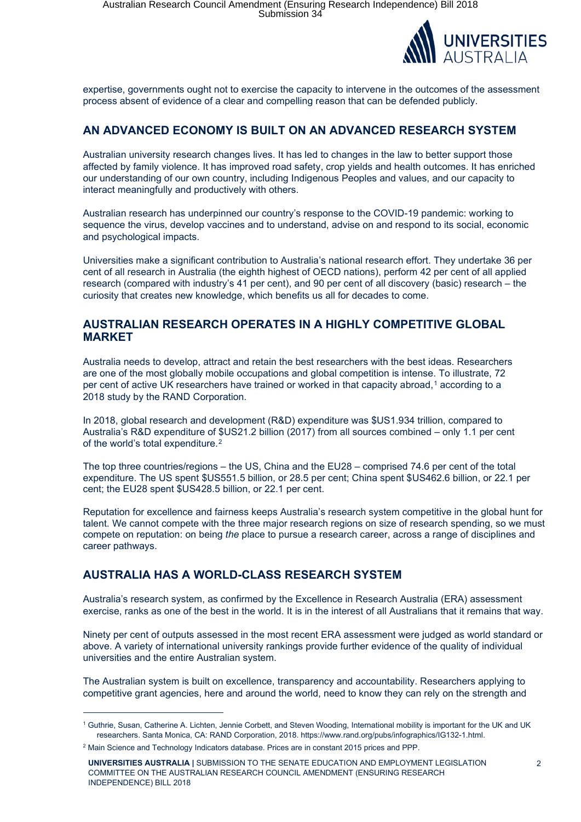

expertise, governments ought not to exercise the capacity to intervene in the outcomes of the assessment process absent of evidence of a clear and compelling reason that can be defended publicly.

#### **AN ADVANCED ECONOMY IS BUILT ON AN ADVANCED RESEARCH SYSTEM**

Australian university research changes lives. It has led to changes in the law to better support those affected by family violence. It has improved road safety, crop yields and health outcomes. It has enriched our understanding of our own country, including Indigenous Peoples and values, and our capacity to interact meaningfully and productively with others.

Australian research has underpinned our country's response to the COVID-19 pandemic: working to sequence the virus, develop vaccines and to understand, advise on and respond to its social, economic and psychological impacts.

Universities make a significant contribution to Australia's national research effort. They undertake 36 per cent of all research in Australia (the eighth highest of OECD nations), perform 42 per cent of all applied research (compared with industry's 41 per cent), and 90 per cent of all discovery (basic) research – the curiosity that creates new knowledge, which benefits us all for decades to come.

#### **AUSTRALIAN RESEARCH OPERATES IN A HIGHLY COMPETITIVE GLOBAL MARKET**

Australia needs to develop, attract and retain the best researchers with the best ideas. Researchers are one of the most globally mobile occupations and global competition is intense. To illustrate, 72 per cent of active UK researchers have trained or worked in that capacity abroad,<sup>1</sup> according to a 2018 study by the RAND Corporation.

In 2018, global research and development (R&D) expenditure was \$US1.934 trillion, compared to Australia's R&D expenditure of \$US21.2 billion (2017) from all sources combined – only 1.1 per cent of the world's total expenditure.<sup>2</sup>

The top three countries/regions – the US, China and the EU28 – comprised 74.6 per cent of the total expenditure. The US spent \$US551.5 billion, or 28.5 per cent; China spent \$US462.6 billion, or 22.1 per cent; the EU28 spent \$US428.5 billion, or 22.1 per cent.

Reputation for excellence and fairness keeps Australia's research system competitive in the global hunt for talent. We cannot compete with the three major research regions on size of research spending, so we must compete on reputation: on being *the* place to pursue a research career, across a range of disciplines and career pathways.

## **AUSTRALIA HAS A WORLD-CLASS RESEARCH SYSTEM**

Australia's research system, as confirmed by the Excellence in Research Australia (ERA) assessment exercise, ranks as one of the best in the world. It is in the interest of all Australians that it remains that way.

Ninety per cent of outputs assessed in the most recent ERA assessment were judged as world standard or above. A variety of international university rankings provide further evidence of the quality of individual universities and the entire Australian system.

The Australian system is built on excellence, transparency and accountability. Researchers applying to competitive grant agencies, here and around the world, need to know they can rely on the strength and

<sup>1</sup> Guthrie, Susan, Catherine A. Lichten, Jennie Corbett, and Steven Wooding, International mobility is important for the UK and UK researchers. Santa Monica, CA: RAND Corporation, 2018. https://www.rand.org/pubs/infographics/IG132-1.html.

<sup>2</sup> Main Science and Technology Indicators database. Prices are in constant 2015 prices and PPP.

**UNIVERSITIES AUSTRALIA |** SUBMISSION TO THE SENATE EDUCATION AND EMPLOYMENT LEGISLATION COMMITTEE ON THE AUSTRALIAN RESEARCH COUNCIL AMENDMENT (ENSURING RESEARCH INDEPENDENCE) BILL 2018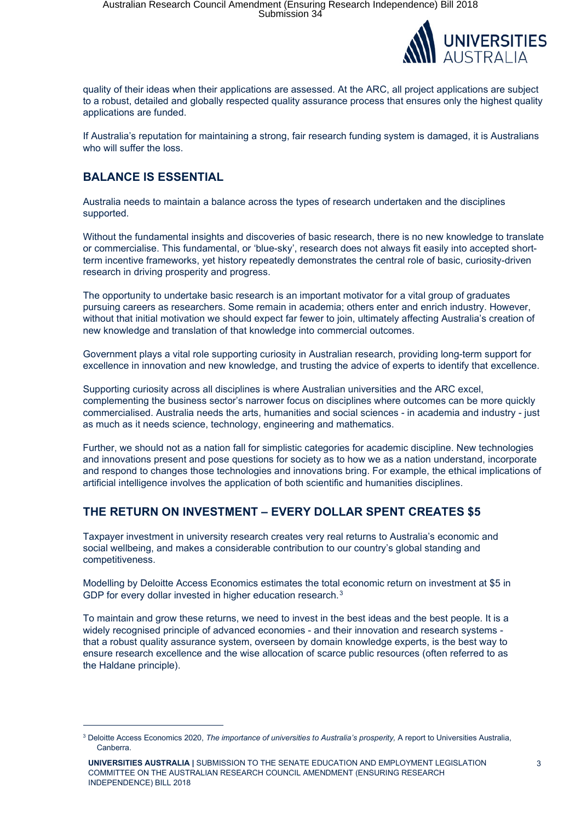

quality of their ideas when their applications are assessed. At the ARC, all project applications are subject to a robust, detailed and globally respected quality assurance process that ensures only the highest quality applications are funded.

If Australia's reputation for maintaining a strong, fair research funding system is damaged, it is Australians who will suffer the loss.

# **BALANCE IS ESSENTIAL**

Australia needs to maintain a balance across the types of research undertaken and the disciplines supported.

Without the fundamental insights and discoveries of basic research, there is no new knowledge to translate or commercialise. This fundamental, or 'blue-sky', research does not always fit easily into accepted shortterm incentive frameworks, yet history repeatedly demonstrates the central role of basic, curiosity-driven research in driving prosperity and progress.

The opportunity to undertake basic research is an important motivator for a vital group of graduates pursuing careers as researchers. Some remain in academia; others enter and enrich industry. However, without that initial motivation we should expect far fewer to join, ultimately affecting Australia's creation of new knowledge and translation of that knowledge into commercial outcomes.

Government plays a vital role supporting curiosity in Australian research, providing long-term support for excellence in innovation and new knowledge, and trusting the advice of experts to identify that excellence.

Supporting curiosity across all disciplines is where Australian universities and the ARC excel, complementing the business sector's narrower focus on disciplines where outcomes can be more quickly commercialised. Australia needs the arts, humanities and social sciences - in academia and industry - just as much as it needs science, technology, engineering and mathematics.

Further, we should not as a nation fall for simplistic categories for academic discipline. New technologies and innovations present and pose questions for society as to how we as a nation understand, incorporate and respond to changes those technologies and innovations bring. For example, the ethical implications of artificial intelligence involves the application of both scientific and humanities disciplines.

## **THE RETURN ON INVESTMENT – EVERY DOLLAR SPENT CREATES \$5**

Taxpayer investment in university research creates very real returns to Australia's economic and social wellbeing, and makes a considerable contribution to our country's global standing and competitiveness.

Modelling by Deloitte Access Economics estimates the total economic return on investment at \$5 in GDP for every dollar invested in higher education research.<sup>3</sup>

To maintain and grow these returns, we need to invest in the best ideas and the best people. It is a widely recognised principle of advanced economies - and their innovation and research systems that a robust quality assurance system, overseen by domain knowledge experts, is the best way to ensure research excellence and the wise allocation of scarce public resources (often referred to as the Haldane principle).

<sup>3</sup> Deloitte Access Economics 2020, *The importance of universities to Australia's prosperity,* A report to Universities Australia, Canberra.

**UNIVERSITIES AUSTRALIA |** SUBMISSION TO THE SENATE EDUCATION AND EMPLOYMENT LEGISLATION COMMITTEE ON THE AUSTRALIAN RESEARCH COUNCIL AMENDMENT (ENSURING RESEARCH INDEPENDENCE) BILL 2018